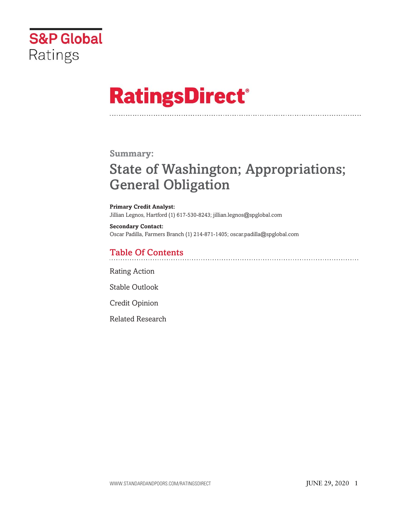

# **RatingsDirect®**

## **Summary:**

# **State of Washington; Appropriations; General Obligation**

#### **Primary Credit Analyst:** Jillian Legnos, Hartford (1) 617-530-8243; jillian.legnos@spglobal.com

**Secondary Contact:** Oscar Padilla, Farmers Branch (1) 214-871-1405; oscar.padilla@spglobal.com

# **Table Of Contents**

Rating Action

Stable Outlook

Credit Opinion

Related Research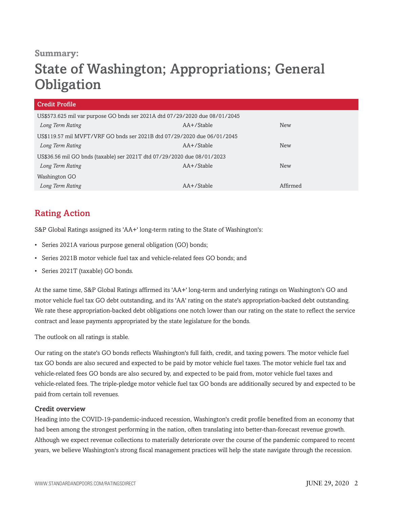### **Summary:**

# **State of Washington; Appropriations; General Obligation**

| US\$573.625 mil var purpose GO bnds ser 2021A dtd 07/29/2020 due 08/01/2045 |            |
|-----------------------------------------------------------------------------|------------|
| AA+/Stable                                                                  | <b>New</b> |
| US\$119.57 mil MVFT/VRF GO bnds ser 2021B dtd 07/29/2020 due 06/01/2045     |            |
| $AA + /$ Stable                                                             | <b>New</b> |
| US\$36.56 mil GO bnds (taxable) ser 2021T dtd 07/29/2020 due 08/01/2023     |            |
| $AA + /$ Stable                                                             | <b>New</b> |
|                                                                             |            |
| $AA + /$ Stable                                                             | Affirmed   |
|                                                                             |            |

# **Rating Action**

S&P Global Ratings assigned its 'AA+' long-term rating to the State of Washington's:

- Series 2021A various purpose general obligation (GO) bonds;
- Series 2021B motor vehicle fuel tax and vehicle-related fees GO bonds; and
- Series 2021T (taxable) GO bonds.

At the same time, S&P Global Ratings affirmed its 'AA+' long-term and underlying ratings on Washington's GO and motor vehicle fuel tax GO debt outstanding, and its 'AA' rating on the state's appropriation-backed debt outstanding. We rate these appropriation-backed debt obligations one notch lower than our rating on the state to reflect the service contract and lease payments appropriated by the state legislature for the bonds.

The outlook on all ratings is stable.

Our rating on the state's GO bonds reflects Washington's full faith, credit, and taxing powers. The motor vehicle fuel tax GO bonds are also secured and expected to be paid by motor vehicle fuel taxes. The motor vehicle fuel tax and vehicle-related fees GO bonds are also secured by, and expected to be paid from, motor vehicle fuel taxes and vehicle-related fees. The triple-pledge motor vehicle fuel tax GO bonds are additionally secured by and expected to be paid from certain toll revenues.

#### **Credit overview**

Heading into the COVID-19-pandemic-induced recession, Washington's credit profile benefited from an economy that had been among the strongest performing in the nation, often translating into better-than-forecast revenue growth. Although we expect revenue collections to materially deteriorate over the course of the pandemic compared to recent years, we believe Washington's strong fiscal management practices will help the state navigate through the recession.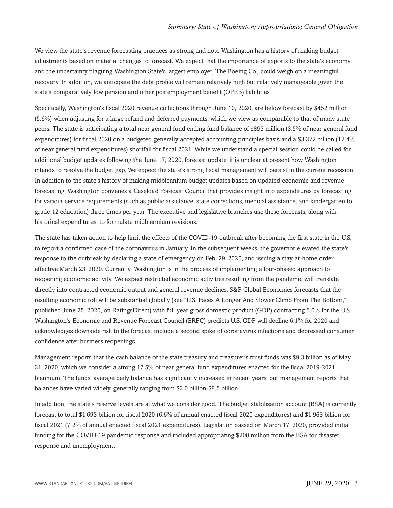We view the state's revenue forecasting practices as strong and note Washington has a history of making budget adjustments based on material changes to forecast. We expect that the importance of exports to the state's economy and the uncertainty plaguing Washington State's largest employer, The Boeing Co., could weigh on a meaningful recovery. In addition, we anticipate the debt profile will remain relatively high but relatively manageable given the state's comparatively low pension and other postemployment benefit (OPEB) liabilities.

Specifically, Washington's fiscal 2020 revenue collections through June 10, 2020, are below forecast by \$452 million (5.6%) when adjusting for a large refund and deferred payments, which we view as comparable to that of many state peers. The state is anticipating a total near general fund ending fund balance of \$893 million (3.5% of near general fund expenditures) for fiscal 2020 on a budgeted generally accepted accounting principles basis and a \$3.372 billion (12.4% of near general fund expenditures) shortfall for fiscal 2021. While we understand a special session could be called for additional budget updates following the June 17, 2020, forecast update, it is unclear at present how Washington intends to resolve the budget gap. We expect the state's strong fiscal management will persist in the current recession. In addition to the state's history of making midbiennium budget updates based on updated economic and revenue forecasting, Washington convenes a Caseload Forecast Council that provides insight into expenditures by forecasting for various service requirements (such as public assistance, state corrections, medical assistance, and kindergarten to grade 12 education) three times per year. The executive and legislative branches use these forecasts, along with historical expenditures, to formulate midbiennium revisions.

The state has taken action to help limit the effects of the COVID-19 outbreak after becoming the first state in the U.S. to report a confirmed case of the coronavirus in January. In the subsequent weeks, the governor elevated the state's response to the outbreak by declaring a state of emergency on Feb. 29, 2020, and issuing a stay-at-home order effective March 23, 2020. Currently, Washington is in the process of implementing a four-phased approach to reopening economic activity. We expect restricted economic activities resulting from the pandemic will translate directly into contracted economic output and general revenue declines. S&P Global Economics forecasts that the resulting economic toll will be substantial globally (see "U.S. Faces A Longer And Slower Climb From The Bottom," published June 25, 2020, on RatingsDirect) with full year gross domestic product (GDP) contracting 5.0% for the U.S. Washington's Economic and Revenue Forecast Council (ERFC) predicts U.S. GDP will decline 6.1% for 2020 and acknowledges downside risk to the forecast include a second spike of coronavirus infections and depressed consumer confidence after business reopenings.

Management reports that the cash balance of the state treasury and treasurer's trust funds was \$9.3 billion as of May 31, 2020, which we consider a strong 17.5% of near general fund expenditures enacted for the fiscal 2019-2021 biennium. The funds' average daily balance has significantly increased in recent years, but management reports that balances have varied widely, generally ranging from \$3.0 billion-\$8.5 billion.

In addition, the state's reserve levels are at what we consider good. The budget stabilization account (BSA) is currently forecast to total \$1.693 billion for fiscal 2020 (6.6% of annual enacted fiscal 2020 expenditures) and \$1.963 billion for fiscal 2021 (7.2% of annual enacted fiscal 2021 expenditures). Legislation passed on March 17, 2020, provided initial funding for the COVID-19 pandemic response and included appropriating \$200 million from the BSA for disaster response and unemployment.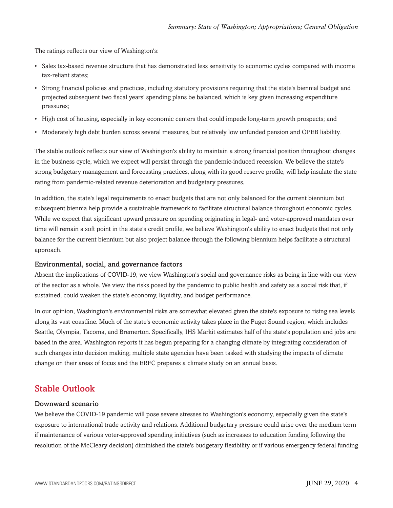The ratings reflects our view of Washington's:

- Sales tax-based revenue structure that has demonstrated less sensitivity to economic cycles compared with income tax-reliant states;
- Strong financial policies and practices, including statutory provisions requiring that the state's biennial budget and projected subsequent two fiscal years' spending plans be balanced, which is key given increasing expenditure pressures;
- High cost of housing, especially in key economic centers that could impede long-term growth prospects; and
- Moderately high debt burden across several measures, but relatively low unfunded pension and OPEB liability.

The stable outlook reflects our view of Washington's ability to maintain a strong financial position throughout changes in the business cycle, which we expect will persist through the pandemic-induced recession. We believe the state's strong budgetary management and forecasting practices, along with its good reserve profile, will help insulate the state rating from pandemic-related revenue deterioration and budgetary pressures.

In addition, the state's legal requirements to enact budgets that are not only balanced for the current biennium but subsequent biennia help provide a sustainable framework to facilitate structural balance throughout economic cycles. While we expect that significant upward pressure on spending originating in legal- and voter-approved mandates over time will remain a soft point in the state's credit profile, we believe Washington's ability to enact budgets that not only balance for the current biennium but also project balance through the following biennium helps facilitate a structural approach.

#### **Environmental, social, and governance factors**

Absent the implications of COVID-19, we view Washington's social and governance risks as being in line with our view of the sector as a whole. We view the risks posed by the pandemic to public health and safety as a social risk that, if sustained, could weaken the state's economy, liquidity, and budget performance.

In our opinion, Washington's environmental risks are somewhat elevated given the state's exposure to rising sea levels along its vast coastline. Much of the state's economic activity takes place in the Puget Sound region, which includes Seattle, Olympia, Tacoma, and Bremerton. Specifically, IHS Markit estimates half of the state's population and jobs are based in the area. Washington reports it has begun preparing for a changing climate by integrating consideration of such changes into decision making; multiple state agencies have been tasked with studying the impacts of climate change on their areas of focus and the ERFC prepares a climate study on an annual basis.

### **Stable Outlook**

#### **Downward scenario**

We believe the COVID-19 pandemic will pose severe stresses to Washington's economy, especially given the state's exposure to international trade activity and relations. Additional budgetary pressure could arise over the medium term if maintenance of various voter-approved spending initiatives (such as increases to education funding following the resolution of the McCleary decision) diminished the state's budgetary flexibility or if various emergency federal funding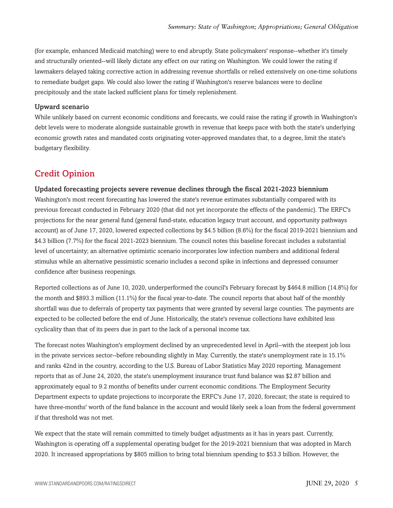(for example, enhanced Medicaid matching) were to end abruptly. State policymakers' response--whether it's timely and structurally oriented--will likely dictate any effect on our rating on Washington. We could lower the rating if lawmakers delayed taking corrective action in addressing revenue shortfalls or relied extensively on one-time solutions to remediate budget gaps. We could also lower the rating if Washington's reserve balances were to decline precipitously and the state lacked sufficient plans for timely replenishment.

#### **Upward scenario**

While unlikely based on current economic conditions and forecasts, we could raise the rating if growth in Washington's debt levels were to moderate alongside sustainable growth in revenue that keeps pace with both the state's underlying economic growth rates and mandated costs originating voter-approved mandates that, to a degree, limit the state's budgetary flexibility.

# **Credit Opinion**

#### **Updated forecasting projects severe revenue declines through the fiscal 2021-2023 biennium**

Washington's most recent forecasting has lowered the state's revenue estimates substantially compared with its previous forecast conducted in February 2020 (that did not yet incorporate the effects of the pandemic). The ERFC's projections for the near general fund (general fund-state, education legacy trust account, and opportunity pathways account) as of June 17, 2020, lowered expected collections by \$4.5 billion (8.6%) for the fiscal 2019-2021 biennium and \$4.3 billion (7.7%) for the fiscal 2021-2023 biennium. The council notes this baseline forecast includes a substantial level of uncertainty; an alternative optimistic scenario incorporates low infection numbers and additional federal stimulus while an alternative pessimistic scenario includes a second spike in infections and depressed consumer confidence after business reopenings.

Reported collections as of June 10, 2020, underperformed the council's February forecast by \$464.8 million (14.8%) for the month and \$893.3 million (11.1%) for the fiscal year-to-date. The council reports that about half of the monthly shortfall was due to deferrals of property tax payments that were granted by several large counties. The payments are expected to be collected before the end of June. Historically, the state's revenue collections have exhibited less cyclicality than that of its peers due in part to the lack of a personal income tax.

The forecast notes Washington's employment declined by an unprecedented level in April--with the steepest job loss in the private services sector--before rebounding slightly in May. Currently, the state's unemployment rate is 15.1% and ranks 42nd in the country, according to the U.S. Bureau of Labor Statistics May 2020 reporting. Management reports that as of June 24, 2020, the state's unemployment insurance trust fund balance was \$2.87 billion and approximately equal to 9.2 months of benefits under current economic conditions. The Employment Security Department expects to update projections to incorporate the ERFC's June 17, 2020, forecast; the state is required to have three-months' worth of the fund balance in the account and would likely seek a loan from the federal government if that threshold was not met.

We expect that the state will remain committed to timely budget adjustments as it has in years past. Currently, Washington is operating off a supplemental operating budget for the 2019-2021 biennium that was adopted in March 2020. It increased appropriations by \$805 million to bring total biennium spending to \$53.3 billion. However, the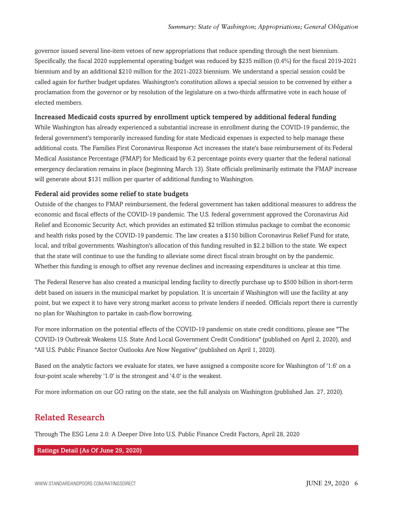governor issued several line-item vetoes of new appropriations that reduce spending through the next biennium. Specifically, the fiscal 2020 supplemental operating budget was reduced by \$235 million (0.4%) for the fiscal 2019-2021 biennium and by an additional \$210 million for the 2021-2023 biennium. We understand a special session could be called again for further budget updates. Washington's constitution allows a special session to be convened by either a proclamation from the governor or by resolution of the legislature on a two-thirds affirmative vote in each house of elected members.

#### **Increased Medicaid costs spurred by enrollment uptick tempered by additional federal funding**

While Washington has already experienced a substantial increase in enrollment during the COVID-19 pandemic, the federal government's temporarily increased funding for state Medicaid expenses is expected to help manage these additional costs. The Families First Coronavirus Response Act increases the state's base reimbursement of its Federal Medical Assistance Percentage (FMAP) for Medicaid by 6.2 percentage points every quarter that the federal national emergency declaration remains in place (beginning March 13). State officials preliminarily estimate the FMAP increase will generate about \$131 million per quarter of additional funding to Washington.

#### **Federal aid provides some relief to state budgets**

Outside of the changes to FMAP reimbursement, the federal government has taken additional measures to address the economic and fiscal effects of the COVID-19 pandemic. The U.S. federal government approved the Coronavirus Aid Relief and Economic Security Act, which provides an estimated \$2 trillion stimulus package to combat the economic and health risks posed by the COVID-19 pandemic. The law creates a \$150 billion Coronavirus Relief Fund for state, local, and tribal governments. Washington's allocation of this funding resulted in \$2.2 billion to the state. We expect that the state will continue to use the funding to alleviate some direct fiscal strain brought on by the pandemic. Whether this funding is enough to offset any revenue declines and increasing expenditures is unclear at this time.

The Federal Reserve has also created a municipal lending facility to directly purchase up to \$500 billion in short-term debt based on issuers in the municipal market by population. It is uncertain if Washington will use the facility at any point, but we expect it to have very strong market access to private lenders if needed. Officials report there is currently no plan for Washington to partake in cash-flow borrowing.

For more information on the potential effects of the COVID-19 pandemic on state credit conditions, please see "The COVID-19 Outbreak Weakens U.S. State And Local Government Credit Conditions" (published on April 2, 2020), and "All U.S. Public Finance Sector Outlooks Are Now Negative" (published on April 1, 2020).

Based on the analytic factors we evaluate for states, we have assigned a composite score for Washington of '1.6' on a four-point scale whereby '1.0' is the strongest and '4.0' is the weakest.

For more information on our GO rating on the state, see the full analysis on Washington (published Jan. 27, 2020).

# **Related Research**

Through The ESG Lens 2.0: A Deeper Dive Into U.S. Public Finance Credit Factors, April 28, 2020

#### **Ratings Detail (As Of June 29, 2020)**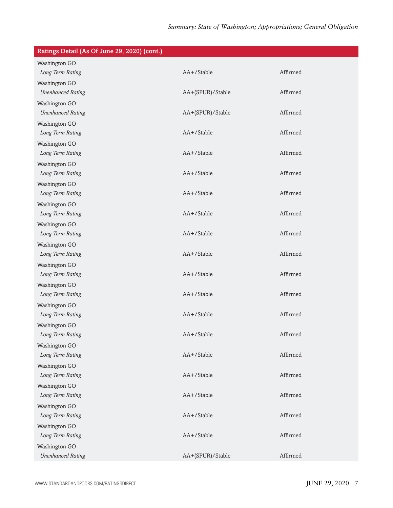# *Summary: State of Washington; Appropriations; General Obligation*

| Ratings Detail (As Of June 29, 2020) (cont.) |                  |          |
|----------------------------------------------|------------------|----------|
| Washington GO                                |                  |          |
| Long Term Rating                             | AA+/Stable       | Affirmed |
| Washington GO                                |                  |          |
| <b>Unenhanced Rating</b>                     | AA+(SPUR)/Stable | Affirmed |
| Washington GO                                |                  |          |
| <b>Unenhanced Rating</b>                     | AA+(SPUR)/Stable | Affirmed |
| Washington GO                                |                  |          |
| Long Term Rating                             | AA+/Stable       | Affirmed |
| Washington GO                                |                  |          |
| Long Term Rating                             | AA+/Stable       | Affirmed |
| Washington GO                                |                  |          |
| Long Term Rating                             | AA+/Stable       | Affirmed |
| Washington GO                                |                  |          |
| Long Term Rating                             | AA+/Stable       | Affirmed |
| Washington GO                                |                  |          |
| Long Term Rating                             | AA+/Stable       | Affirmed |
| Washington GO                                |                  |          |
| Long Term Rating                             | AA+/Stable       | Affirmed |
| Washington GO                                |                  |          |
| Long Term Rating                             | AA+/Stable       | Affirmed |
| Washington GO                                |                  |          |
| Long Term Rating                             | AA+/Stable       | Affirmed |
| Washington GO                                |                  |          |
| Long Term Rating                             | AA+/Stable       | Affirmed |
| Washington GO                                |                  |          |
| Long Term Rating                             | AA+/Stable       | Affirmed |
| Washington GO                                |                  |          |
| Long Term Rating                             | AA+/Stable       | Affirmed |
| Washington GO                                |                  |          |
| Long Term Rating                             | AA+/Stable       | Affirmed |
| Washington GO                                |                  |          |
| Long Term Rating                             | AA+/Stable       | Affirmed |
| Washington GO                                |                  |          |
| Long Term Rating                             | AA+/Stable       | Affirmed |
| Washington GO                                |                  |          |
| Long Term Rating                             | AA+/Stable       | Affirmed |
| Washington GO                                |                  |          |
| Long Term Rating                             | AA+/Stable       | Affirmed |
| Washington GO                                |                  |          |
| <b>Unenhanced Rating</b>                     | AA+(SPUR)/Stable | Affirmed |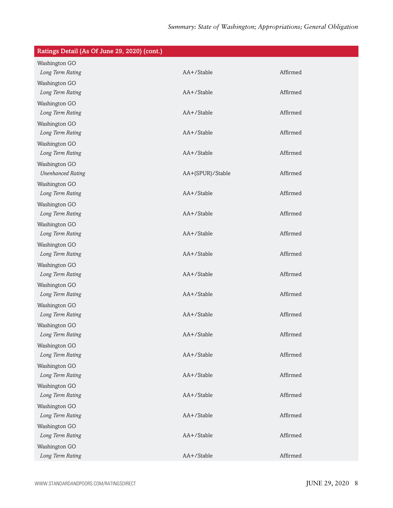# *Summary: State of Washington; Appropriations; General Obligation*

| Ratings Detail (As Of June 29, 2020) (cont.) |                  |          |
|----------------------------------------------|------------------|----------|
| Washington GO                                |                  |          |
| Long Term Rating                             | AA+/Stable       | Affirmed |
| Washington GO                                |                  |          |
| Long Term Rating                             | AA+/Stable       | Affirmed |
| Washington GO                                |                  |          |
| Long Term Rating                             | AA+/Stable       | Affirmed |
| Washington GO                                |                  |          |
| Long Term Rating                             | AA+/Stable       | Affirmed |
| Washington GO                                |                  |          |
| Long Term Rating                             | AA+/Stable       | Affirmed |
| Washington GO                                |                  |          |
| <b>Unenhanced Rating</b>                     | AA+(SPUR)/Stable | Affirmed |
| Washington GO                                |                  |          |
| Long Term Rating                             | AA+/Stable       | Affirmed |
| Washington GO                                |                  |          |
| Long Term Rating                             | AA+/Stable       | Affirmed |
| Washington GO                                |                  |          |
| Long Term Rating                             | AA+/Stable       | Affirmed |
| Washington GO                                |                  |          |
| Long Term Rating                             | AA+/Stable       | Affirmed |
| Washington GO                                |                  |          |
| Long Term Rating                             | AA+/Stable       | Affirmed |
| Washington GO                                |                  |          |
| Long Term Rating                             | AA+/Stable       | Affirmed |
| Washington GO                                |                  |          |
| Long Term Rating                             | AA+/Stable       | Affirmed |
| Washington GO                                |                  |          |
| Long Term Rating                             | AA+/Stable       | Affirmed |
| Washington GO                                |                  |          |
| Long Term Rating                             | AA+/Stable       | Affirmed |
| Washington GO                                |                  |          |
| Long Term Rating                             | AA+/Stable       | Affirmed |
| Washington GO                                |                  |          |
| Long Term Rating                             | AA+/Stable       | Affirmed |
| Washington GO                                |                  |          |
| Long Term Rating                             | AA+/Stable       | Affirmed |
| Washington GO                                |                  |          |
| Long Term Rating                             | AA+/Stable       | Affirmed |
| Washington GO                                |                  |          |
| Long Term Rating                             | AA+/Stable       | Affirmed |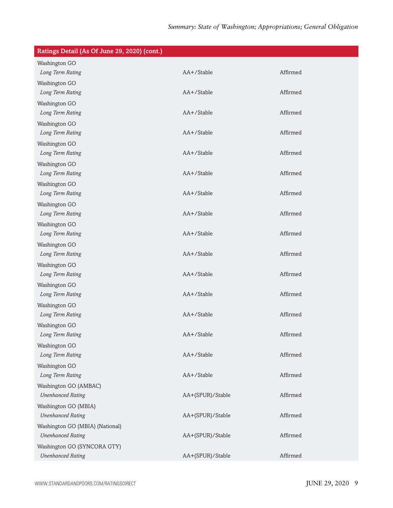| Ratings Detail (As Of June 29, 2020) (cont.) |                  |          |
|----------------------------------------------|------------------|----------|
| Washington GO                                |                  |          |
| Long Term Rating                             | AA+/Stable       | Affirmed |
| Washington GO                                |                  |          |
| Long Term Rating                             | AA+/Stable       | Affirmed |
| Washington GO                                |                  |          |
| Long Term Rating                             | AA+/Stable       | Affirmed |
| Washington GO                                |                  |          |
| Long Term Rating                             | AA+/Stable       | Affirmed |
| Washington GO                                |                  |          |
| Long Term Rating                             | AA+/Stable       | Affirmed |
| Washington GO                                |                  |          |
| Long Term Rating                             | AA+/Stable       | Affirmed |
| Washington GO                                |                  |          |
| Long Term Rating                             | AA+/Stable       | Affirmed |
| Washington GO                                |                  |          |
| Long Term Rating                             | AA+/Stable       | Affirmed |
| Washington GO                                |                  |          |
| Long Term Rating                             | AA+/Stable       | Affirmed |
| Washington GO                                |                  |          |
| Long Term Rating                             | AA+/Stable       | Affirmed |
| Washington GO                                |                  |          |
| Long Term Rating                             | AA+/Stable       | Affirmed |
| Washington GO                                |                  |          |
| Long Term Rating                             | AA+/Stable       | Affirmed |
| Washington GO                                |                  |          |
| Long Term Rating                             | AA+/Stable       | Affirmed |
| Washington GO                                |                  |          |
| Long Term Rating                             | AA+/Stable       | Affirmed |
| Washington GO                                |                  |          |
| Long Term Rating                             | AA+/Stable       | Affirmed |
| Washington GO                                |                  |          |
| Long Term Rating                             | AA+/Stable       | Affirmed |
| Washington GO (AMBAC)                        |                  |          |
| <b>Unenhanced Rating</b>                     | AA+(SPUR)/Stable | Affirmed |
| Washington GO (MBIA)                         |                  |          |
| <b>Unenhanced Rating</b>                     | AA+(SPUR)/Stable | Affirmed |
| Washington GO (MBIA) (National)              |                  |          |
| <b>Unenhanced Rating</b>                     | AA+(SPUR)/Stable | Affirmed |
| Washington GO (SYNCORA GTY)                  |                  |          |
| <b>Unenhanced Rating</b>                     | AA+(SPUR)/Stable | Affirmed |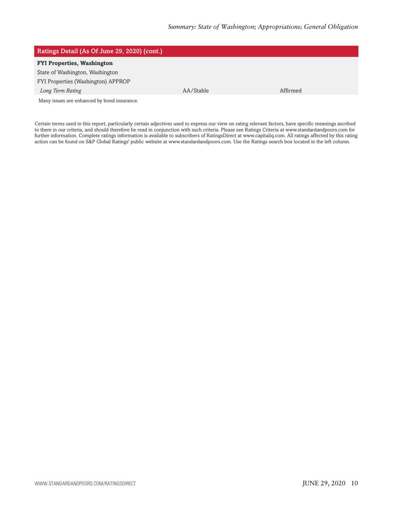| Ratings Detail (As Of June 29, 2020) (cont.) |           |          |  |
|----------------------------------------------|-----------|----------|--|
| <b>FYI Properties, Washington</b>            |           |          |  |
| State of Washington, Washington              |           |          |  |
| FYI Properties (Washington) APPROP           |           |          |  |
| Long Term Rating                             | AA/Stable | Affirmed |  |
| Many issues are enhanced by bond insurance.  |           |          |  |

Certain terms used in this report, particularly certain adjectives used to express our view on rating relevant factors, have specific meanings ascribed to them in our criteria, and should therefore be read in conjunction with such criteria. Please see Ratings Criteria at www.standardandpoors.com for further information. Complete ratings information is available to subscribers of RatingsDirect at www.capitaliq.com. All ratings affected by this rating action can be found on S&P Global Ratings' public website at www.standardandpoors.com. Use the Ratings search box located in the left column.